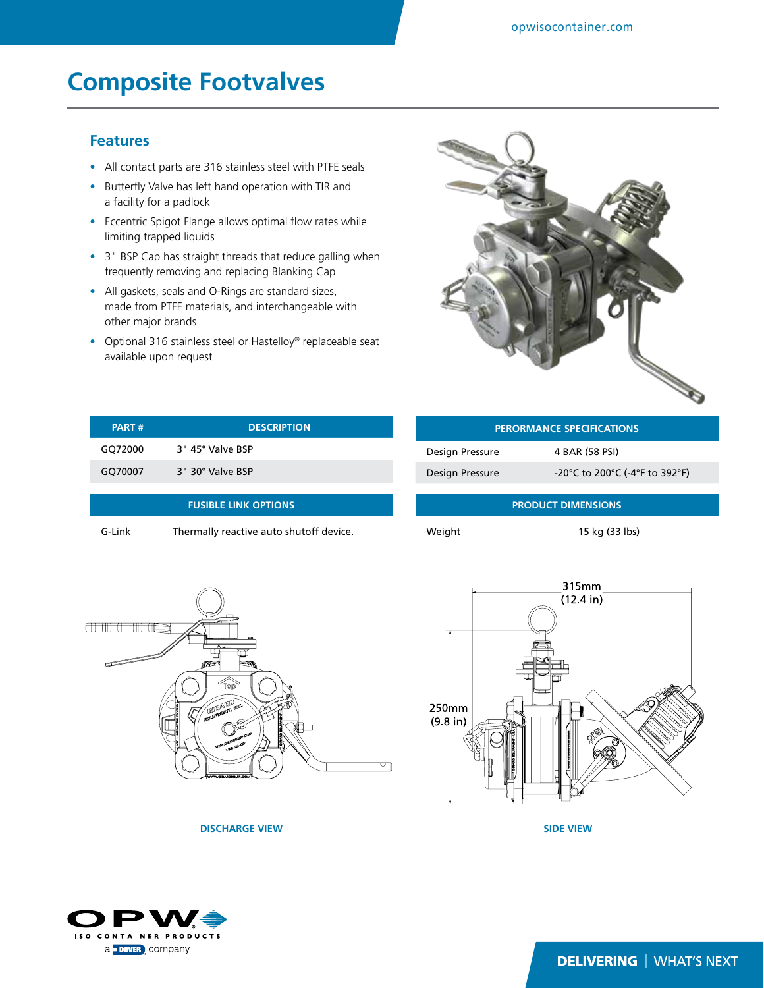## **Composite Footvalves**

## **Features**

- All contact parts are 316 stainless steel with PTFE seals
- Butterfly Valve has left hand operation with TIR and a facility for a padlock
- Eccentric Spigot Flange allows optimal flow rates while limiting trapped liquids
- 3" BSP Cap has straight threads that reduce galling when frequently removing and replacing Blanking Cap
- All gaskets, seals and O-Rings are standard sizes, made from PTFE materials, and interchangeable with other major brands
- Optional 316 stainless steel or Hastelloy® replaceable seat available upon request



| <b>PART#</b>                | <b>DESCRIPTION</b> |  |
|-----------------------------|--------------------|--|
| GQ72000                     | 3" 45° Valve BSP   |  |
| GQ70007                     | 3" 30° Valve BSP   |  |
|                             |                    |  |
| <b>FUSIBLE LINK OPTIONS</b> |                    |  |
|                             |                    |  |

G-Link Thermally reactive auto shutoff device.

| <b>PERORMANCE SPECIFICATIONS</b> |                                |  |  |
|----------------------------------|--------------------------------|--|--|
| Design Pressure                  | 4 BAR (58 PSI)                 |  |  |
| Design Pressure                  | -20°C to 200°C (-4°F to 392°F) |  |  |
|                                  |                                |  |  |

**PRODUCT DIMENSIONS**

Weight 15 kg (33 lbs)



315mm  $(12.4 \text{ in})$ 250mm  $(9.8$  in)

**DISCHARGE VIEW SIDE VIEW**